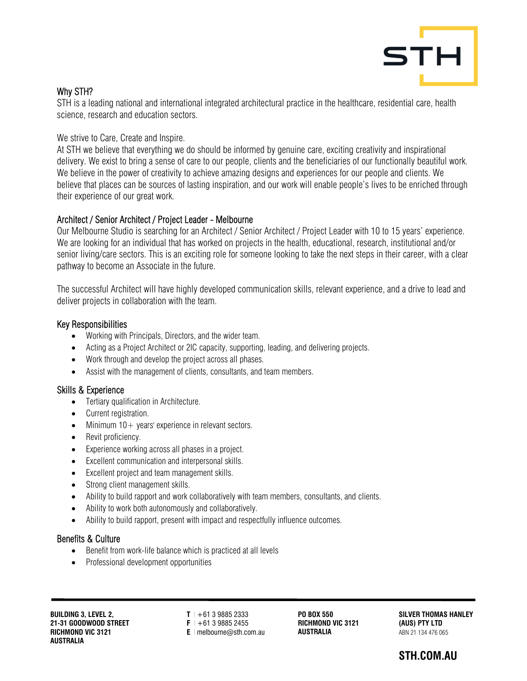

## Why STH?

STH is a leading national and international integrated architectural practice in the healthcare, residential care, health science, research and education sectors.

We strive to Care, Create and Inspire.

At STH we believe that everything we do should be informed by genuine care, exciting creativity and inspirational delivery. We exist to bring a sense of care to our people, clients and the beneficiaries of our functionally beautiful work. We believe in the power of creativity to achieve amazing designs and experiences for our people and clients. We believe that places can be sources of lasting inspiration, and our work will enable people's lives to be enriched through their experience of our great work.

### Architect / Senior Architect / Project Leader - Melbourne

Our Melbourne Studio is searching for an Architect / Senior Architect / Project Leader with 10 to 15 years' experience. We are looking for an individual that has worked on projects in the health, educational, research, institutional and/or senior living/care sectors. This is an exciting role for someone looking to take the next steps in their career, with a clear pathway to become an Associate in the future.

The successful Architect will have highly developed communication skills, relevant experience, and a drive to lead and deliver projects in collaboration with the team.

#### Key Responsibilities

- Working with Principals, Directors, and the wider team.
- Acting as a Project Architect or 2IC capacity, supporting, leading, and delivering projects.
- Work through and develop the project across all phases.
- Assist with the management of clients, consultants, and team members.

### Skills & Experience

- **•** Tertiary qualification in Architecture.
- Current registration.
- $\bullet$  Minimum 10 + years' experience in relevant sectors.
- Revit proficiency.
- Experience working across all phases in a project.
- Excellent communication and interpersonal skills.
- Excellent project and team management skills.
- Strong client management skills.
- Ability to build rapport and work collaboratively with team members, consultants, and clients.
- Ability to work both autonomously and collaboratively.
- Ability to build rapport, present with impact and respectfully influence outcomes.

#### Benefits & Culture

- Benefit from work-life balance which is practiced at all levels
- Professional development opportunities

**BUILDING 3, LEVEL 2, 21-31 GOODWOOD STREET RICHMOND VIC 3121 AUSTRALIA** 

**T l** +61 3 9885 2333 **F l** +61 3 9885 2455 **E l** melbourne@sth.com.au

**PO BOX 550 RICHMOND VIC 3121 AUSTRALIA** 

**SILVER THOMAS HANLEY (AUS) PTY LTD**  ABN 21 134 476 065

# **STH.COM.AU**